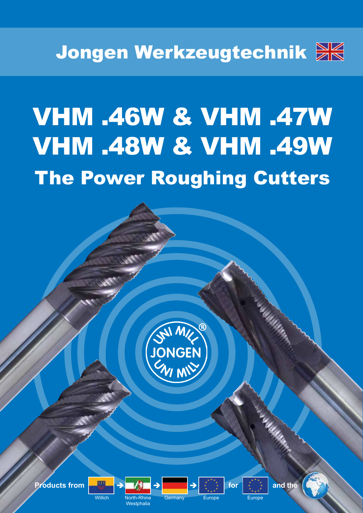

# VHM .46W & VHM .47W VHM .48W & VHM .49W The Power Roughing Cutters





Germany Europe **Europe** Europe

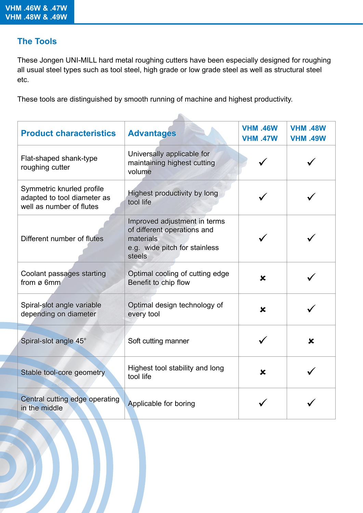#### **The Tools**

These Jongen UNI-MILL hard metal roughing cutters have been especially designed for roughing all usual steel types such as tool steel, high grade or low grade steel as well as structural steel etc.

These tools are distinguished by smooth running of machine and highest productivity.

| <b>Product characteristics</b>                                                       | <b>Advantages</b>                                                                                                   | <b>VHM .46W</b><br><b>VHM .47W</b> | <b>VHM .48W</b><br><b>VHM .49W</b> |  |  |  |  |  |  |
|--------------------------------------------------------------------------------------|---------------------------------------------------------------------------------------------------------------------|------------------------------------|------------------------------------|--|--|--|--|--|--|
| Flat-shaped shank-type<br>roughing cutter                                            | Universally applicable for<br>maintaining highest cutting<br>volume                                                 |                                    |                                    |  |  |  |  |  |  |
| Symmetric knurled profile<br>adapted to tool diameter as<br>well as number of flutes | Highest productivity by long<br>tool life                                                                           |                                    |                                    |  |  |  |  |  |  |
| Different number of flutes                                                           | Improved adjustment in terms<br>of different operations and<br>materials<br>e.g. wide pitch for stainless<br>steels |                                    |                                    |  |  |  |  |  |  |
| Coolant passages starting<br>from ø 6mm                                              | Optimal cooling of cutting edge<br>Benefit to chip flow                                                             | ×                                  |                                    |  |  |  |  |  |  |
| Spiral-slot angle variable<br>depending on diameter                                  | Optimal design technology of<br>every tool                                                                          | $\boldsymbol{\mathsf{x}}$          |                                    |  |  |  |  |  |  |
| Spiral-slot angle 45°                                                                | Soft cutting manner                                                                                                 |                                    | $\mathbf x$                        |  |  |  |  |  |  |
| Stable tool-core geometry                                                            | Highest tool stability and long<br>tool life                                                                        | $\mathbf x$                        |                                    |  |  |  |  |  |  |
| Central cutting edge operating<br>in the middle                                      | Applicable for boring                                                                                               |                                    |                                    |  |  |  |  |  |  |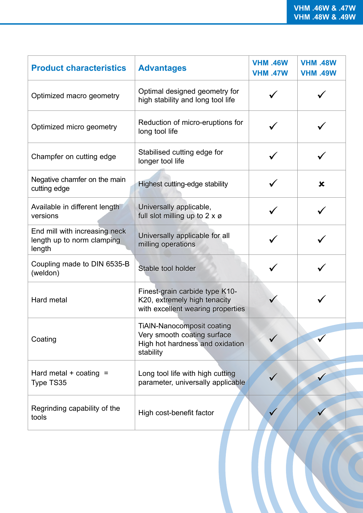| <b>Product characteristics</b>                                        | <b>Advantages</b>                                                                                                | <b>VHM .46W</b><br><b>VHM .47W</b> | <b>VHM .48W</b><br><b>VHM .49W</b> |
|-----------------------------------------------------------------------|------------------------------------------------------------------------------------------------------------------|------------------------------------|------------------------------------|
| Optimized macro geometry                                              | Optimal designed geometry for<br>high stability and long tool life                                               |                                    |                                    |
| Optimized micro geometry                                              | Reduction of micro-eruptions for<br>long tool life                                                               |                                    |                                    |
| Champfer on cutting edge                                              | Stabilised cutting edge for<br>longer tool life                                                                  |                                    |                                    |
| Negative chamfer on the main<br>cutting edge                          | Highest cutting-edge stability                                                                                   |                                    | $\boldsymbol{\mathsf{x}}$          |
| Available in different length<br>versions                             | Universally applicable,<br>full slot milling up to $2 \times \emptyset$                                          |                                    |                                    |
| End mill with increasing neck<br>length up to norm clamping<br>length | Universally applicable for all<br>milling operations                                                             |                                    |                                    |
| Coupling made to DIN 6535-B<br>(weldon)                               | Stable tool holder                                                                                               |                                    |                                    |
| Hard metal                                                            | Finest-grain carbide type K10-<br>K20, extremely high tenacity<br>with excellent wearing properties              |                                    |                                    |
| Coating                                                               | <b>TiAIN-Nanocomposit coating</b><br>Very smooth coating surface<br>High hot hardness and oxidation<br>stability |                                    |                                    |
| Hard metal $+$ coating $=$<br>Type TS35                               | Long tool life with high cutting<br>parameter, universally applicable                                            |                                    |                                    |
| Regrinding capability of the<br>tools                                 | High cost-benefit factor                                                                                         |                                    |                                    |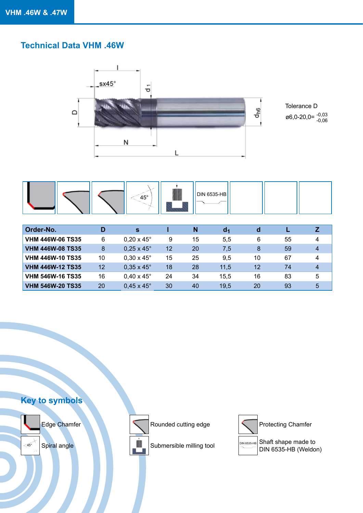#### **Technical Data VHM .46W**





| Order-No.               |                   | S.                       |                 | N  | a <sub>1</sub> | d  |    |   |
|-------------------------|-------------------|--------------------------|-----------------|----|----------------|----|----|---|
| <b>VHM 446W-06 TS35</b> | 6                 | $0,20 \times 45^{\circ}$ | 9               | 15 | 5.5            | 6  | 55 |   |
| <b>VHM 446W-08 TS35</b> | 8                 | $0,25 \times 45^{\circ}$ | 12 <sup>2</sup> | 20 | 7,5            | 8  | 59 |   |
| <b>VHM 446W-10 TS35</b> | 10                | $0,30 \times 45^{\circ}$ | 15              | 25 | 9,5            | 10 | 67 | 4 |
| <b>VHM 446W-12 TS35</b> | $12 \overline{ }$ | $0.35 \times 45^{\circ}$ | 18              | 28 | 11.5           | 12 | 74 |   |
| <b>VHM 546W-16 TS35</b> | 16                | $0.40 \times 45^{\circ}$ | 24              | 34 | 15,5           | 16 | 83 | 5 |
| <b>VHM 546W-20 TS35</b> | 20                | $0.45 \times 45^{\circ}$ | 30              | 40 | 19,5           | 20 | 93 | 5 |







 $\frac{45^\circ}{\sqrt{100}}$  Spiral angle Shaft shape made to  $\frac{1}{\sqrt{100}}$  Submersible milling tool  $\frac{1}{\sqrt{100}}$  Shaft shape made to  $\begin{array}{r} \begin{array}{c} \text{DIN 6535-HB} \\ \text{DIN 6535-HB (Weldon) \end{array} \end{array}$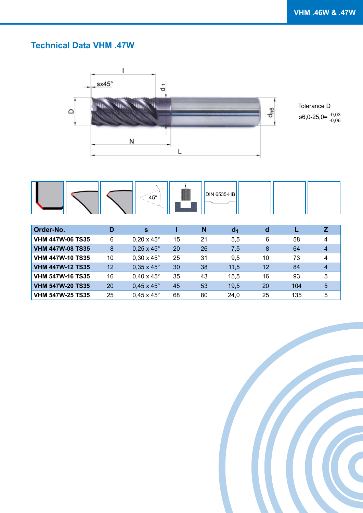## **Technical Data VHM .47W**



|  |  |  | $45^{\circ}$ |  | <b>DIN 6535-HB</b> |  |  |  |
|--|--|--|--------------|--|--------------------|--|--|--|
|--|--|--|--------------|--|--------------------|--|--|--|

| <b>Order-No.</b>        | D  | <b>S</b>                 |    | N  | d <sub>1</sub> | d  |     |   |
|-------------------------|----|--------------------------|----|----|----------------|----|-----|---|
| <b>VHM 447W-06 TS35</b> | 6  | $0.20 \times 45^{\circ}$ | 15 | 21 | 5,5            | 6  | 58  | 4 |
| <b>VHM 447W-08 TS35</b> | 8  | $0.25 \times 45^{\circ}$ | 20 | 26 | 7.5            | 8  | 64  |   |
| <b>VHM 447W-10 TS35</b> | 10 | $0.30 \times 45^{\circ}$ | 25 | 31 | 9,5            | 10 | 73  |   |
| <b>VHM 447W-12 TS35</b> | 12 | $0.35 \times 45^{\circ}$ | 30 | 38 | 11,5           | 12 | 84  |   |
| <b>VHM 547W-16 TS35</b> | 16 | $0.40 \times 45^{\circ}$ | 35 | 43 | 15,5           | 16 | 93  | 5 |
| <b>VHM 547W-20 TS35</b> | 20 | $0,45 \times 45^{\circ}$ | 45 | 53 | 19,5           | 20 | 104 | 5 |
| <b>VHM 547W-25 TS35</b> | 25 | $0.45 \times 45^{\circ}$ | 68 | 80 | 24,0           | 25 | 135 | 5 |

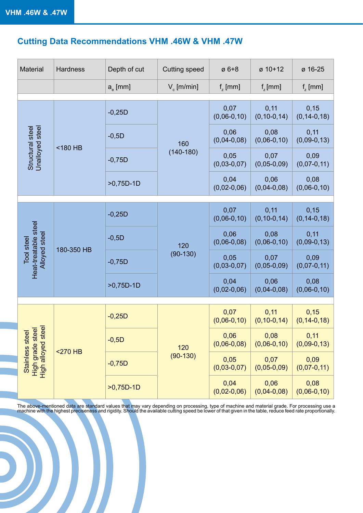# **Cutting Data Recommendations VHM .46W & VHM .47W**

| <b>Material</b>                                                                  | <b>Hardness</b> | Depth of cut        | <b>Cutting speed</b> | $\varnothing$ 6+8     | $\varnothing$ 10+12       | ø 16-25                    |
|----------------------------------------------------------------------------------|-----------------|---------------------|----------------------|-----------------------|---------------------------|----------------------------|
|                                                                                  |                 | a <sub>e</sub> [mm] | $V_{c}$ [m/min]      | $f_{\rm z}$ [mm]      | $f_{\rm z}$ [mm]          | $f_{\rm z}$ [mm]           |
|                                                                                  |                 |                     |                      |                       |                           |                            |
|                                                                                  |                 | $-0,25D$            |                      | 0,07<br>$(0,06-0,10)$ | 0,11<br>$(0, 10 - 0, 14)$ | 0,15<br>$(0, 14 - 0, 18)$  |
|                                                                                  |                 | $-0,5D$             | 160                  | 0,06<br>$(0,04-0,08)$ | 0,08<br>$(0,06-0,10)$     | 0,11<br>$(0,09-0,13)$      |
| Unalloyed steel<br>Structural steel                                              | <180 HB         | $-0,75D$            | $(140-180)$          | 0,05<br>$(0,03-0,07)$ | 0,07<br>$(0,05-0,09)$     | 0,09<br>$(0,07-0,11)$      |
|                                                                                  |                 | $>0,75D-1D$         |                      | 0,04<br>$(0,02-0,06)$ | 0,06<br>$(0,04-0,08)$     | 0,08<br>$(0,06-0,10)$      |
|                                                                                  |                 |                     |                      |                       |                           |                            |
|                                                                                  | 180-350 HB      | $-0,25D$            |                      | 0,07<br>$(0,06-0,10)$ | 0,11<br>$(0, 10 - 0, 14)$ | 0,15<br>$(0, 14 - 0, 18)$  |
|                                                                                  |                 | $-0,5D$             | 120<br>$(90-130)$    | 0,06<br>$(0,06-0,08)$ | 0,08<br>$(0,06-0,10)$     | 0,11<br>$(0,09-0,13)$      |
| Heat-treatable steel<br>Alloyed steel<br><b>Tool</b> steel                       |                 | $-0,75D$            |                      | 0,05<br>$(0,03-0,07)$ | 0,07<br>$(0,05-0,09)$     | 0,09<br>$(0,07-0,11)$      |
|                                                                                  |                 | $>0,75D-1D$         |                      | 0,04<br>$(0,02-0,06)$ | 0,06<br>$(0,04-0,08)$     | 0,08<br>$(0,06-0,10)$      |
|                                                                                  |                 |                     |                      |                       |                           |                            |
|                                                                                  |                 | $-0,25D$            |                      | 0,07<br>$(0,06-0,10)$ | 0,11<br>$(0, 10 - 0, 14)$ | 0, 15<br>$(0, 14 - 0, 18)$ |
|                                                                                  |                 | $-0,5D$             | 120                  | 0,06<br>$(0,06-0,08)$ | 0,08<br>$(0,06-0,10)$     | 0,11<br>$(0,09-0,13)$      |
| Stainless steel<br>High grade steel<br>High alloyed steel<br><b>High alloyed</b> | $<$ 270 HB      | $-0,75D$            | $(90-130)$           | 0,05<br>$(0,03-0,07)$ | 0,07<br>$(0, 05 - 0, 09)$ | 0,09<br>$(0,07-0,11)$      |
|                                                                                  |                 | $>0,75D-1D$         |                      | 0,04<br>$(0,02-0,06)$ | 0,06<br>$(0,04-0,08)$     | 0,08<br>$(0,06-0,10)$      |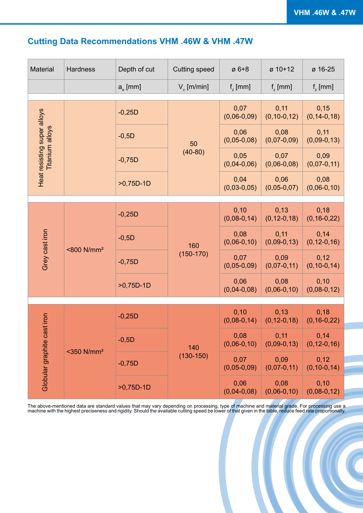## **Cutting Data Recommendations VHM .46W & VHM .47W**

| Material                                              | Hardness                  | Depth of cut     | <b>Cutting speed</b> | $Ø6+8$                    | $\varnothing$ 10+12       | ø 16-25                   |
|-------------------------------------------------------|---------------------------|------------------|----------------------|---------------------------|---------------------------|---------------------------|
|                                                       |                           | $a_{\rm e}$ [mm] | $V_{c}$ [m/min]      | $f_{\rm z}$ [mm]          | $f_{\tau}$ [mm]           | $f_{\rm z}$ [mm]          |
|                                                       |                           | $-0,25D$         |                      | 0,07<br>$(0,06-0,09)$     | 0,11<br>$(0, 10-0, 12)$   | 0,15<br>$(0, 14 - 0, 18)$ |
|                                                       |                           | $-0,5D$          | 50                   | 0,06<br>$(0,05-0,08)$     | 0,08<br>$(0,07-0,09)$     | 0,11<br>$(0,09-0,13)$     |
| Heat resisting super alloys<br><b>Titanium alloys</b> |                           | $-0,75D$         | $(40-80)$            | 0,05<br>$(0,04-0,06)$     | 0,07<br>$(0,06-0,08)$     | 0,09<br>$(0,07-0,11)$     |
|                                                       |                           | $>0,75D-1D$      |                      | 0,04<br>$(0,03-0,05)$     | 0,06<br>$(0,05-0,07)$     | 0,08<br>$(0,06-0,10)$     |
|                                                       | <800 N/mm <sup>2</sup>    |                  |                      | 0, 10                     | 0,13                      | 0,18                      |
|                                                       |                           | $-0,25D$         |                      | $(0,08-0,14)$             | $(0, 12 - 0, 18)$         | $(0, 16 - 0, 22)$         |
| Grey cast iron                                        |                           | $-0,5D$          | 160<br>$(150-170)$   | 0,08<br>$(0,06-0,10)$     | 0,11<br>$(0,09-0,13)$     | 0,14<br>$(0, 12 - 0, 16)$ |
|                                                       |                           | $-0,75D$         |                      | 0,07<br>$(0,05-0,09)$     | 0,09<br>$(0,07-0,11)$     | 0,12<br>$(0, 10 - 0, 14)$ |
|                                                       |                           | $>0,75D-1D$      |                      | 0,06<br>$(0,04-0,08)$     | 0,08<br>$(0,06-0,10)$     | 0,10<br>$(0,08-0,12)$     |
|                                                       |                           |                  |                      |                           |                           |                           |
| st iron                                               |                           | $-0,25D$         |                      | 0, 10<br>$(0,08-0,14)$    | 0,13<br>$(0, 12 - 0, 18)$ | 0,18<br>$(0, 16 - 0, 22)$ |
|                                                       |                           | $-0,5D$          | 140                  | 0,08<br>$(0,06-0,10)$     | 0,11<br>$(0,09-0,13)$     | 0,14<br>$(0, 12 - 0, 16)$ |
| Globular graphite ca                                  | $<$ 350 N/mm <sup>2</sup> | $-0,75D$         | $(130 - 150)$        | 0,07<br>$(0, 05 - 0, 09)$ | 0,09<br>$(0,07-0,11)$     | 0,12<br>$(0, 10 - 0, 14)$ |
|                                                       |                           | $>0,75D-1D$      |                      | 0,06<br>$(0,04-0,08)$     | 0,08<br>$(0,06-0,10)$     | 0,10<br>$(0,08-0,12)$     |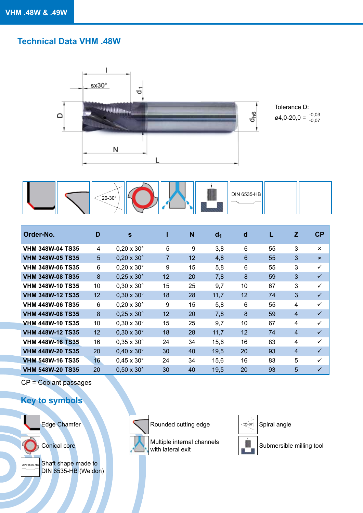#### **Technical Data VHM .48W**





| Order-No.               | D  | S                        |    | N  | d <sub>1</sub> | d  | L  | Z              | CP           |
|-------------------------|----|--------------------------|----|----|----------------|----|----|----------------|--------------|
| <b>VHM 348W-04 TS35</b> | 4  | $0.20 \times 30^{\circ}$ | 5  | 9  | 3,8            | 6  | 55 | 3              | $\mathbf x$  |
| <b>VHM 348W-05 TS35</b> | 5  | $0,20 \times 30^{\circ}$ | 7  | 12 | 4,8            | 6  | 55 | 3              | $\mathbf{x}$ |
| <b>VHM 348W-06 TS35</b> | 6  | $0.20 \times 30^{\circ}$ | 9  | 15 | 5,8            | 6  | 55 | 3              | $\checkmark$ |
| <b>VHM 348W-08 TS35</b> | 8  | $0,25 \times 30^{\circ}$ | 12 | 20 | 7,8            | 8  | 59 | 3              | $\checkmark$ |
| <b>VHM 348W-10 TS35</b> | 10 | $0.30 \times 30^{\circ}$ | 15 | 25 | 9,7            | 10 | 67 | 3              | ✓            |
| <b>VHM 348W-12 TS35</b> | 12 | $0.30 \times 30^{\circ}$ | 18 | 28 | 11,7           | 12 | 74 | 3              | $\checkmark$ |
| <b>VHM 448W-06 TS35</b> | 6  | $0.20 \times 30^{\circ}$ | 9  | 15 | 5,8            | 6  | 55 | 4              | $\checkmark$ |
| <b>VHM 448W-08 TS35</b> | 8  | $0,25 \times 30^\circ$   | 12 | 20 | 7,8            | 8  | 59 | $\overline{4}$ | $\checkmark$ |
| <b>VHM 448W-10 TS35</b> | 10 | $0.30 \times 30^{\circ}$ | 15 | 25 | 9,7            | 10 | 67 | 4              | $\checkmark$ |
| <b>VHM 448W-12 TS35</b> | 12 | $0,30 \times 30^{\circ}$ | 18 | 28 | 11,7           | 12 | 74 | $\overline{4}$ | $\checkmark$ |
| <b>VHM 448W-16 TS35</b> | 16 | $0.35 \times 30^{\circ}$ | 24 | 34 | 15,6           | 16 | 83 | 4              | $\checkmark$ |
| <b>VHM 448W-20 TS35</b> | 20 | $0,40 \times 30^{\circ}$ | 30 | 40 | 19,5           | 20 | 93 | $\overline{4}$ | $\checkmark$ |
| <b>VHM 548W-16 TS35</b> | 16 | $0.45 \times 30^{\circ}$ | 24 | 34 | 15,6           | 16 | 83 | 5              | ✓            |
| <b>VHM 548W-20 TS35</b> | 20 | $0.50 \times 30^{\circ}$ | 30 | 40 | 19,5           | 20 | 93 | 5              | ✓            |

CP = Coolant passages

#### **Key to symbols**







Edge Chamfer Rounded cutting edge



Spiral angle

Multiple internal channels Conical core **Submersible milling tool** Multiple internal channels **Conical core** Submersible milling tool



20-30°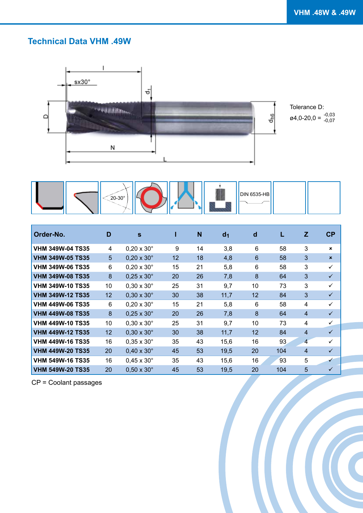### **Technical Data VHM .49W**





| Order-No.               | D                | $\mathbf{s}$             |    | N  | d <sub>1</sub> | d               |     | Z              | CP                        |
|-------------------------|------------------|--------------------------|----|----|----------------|-----------------|-----|----------------|---------------------------|
| <b>VHM 349W-04 TS35</b> | 4                | $0,20 \times 30^\circ$   | 9  | 14 | 3,8            | $6\phantom{1}$  | 58  | 3              | $\mathbf{x}$              |
| <b>VHM 349W-05 TS35</b> | 5                | $0.20 \times 30^\circ$   | 12 | 18 | 4,8            | $6\phantom{1}6$ | 58  | 3              | $\boldsymbol{\mathsf{x}}$ |
| <b>VHM 349W-06 TS35</b> | 6                | $0.20 \times 30^\circ$   | 15 | 21 | 5,8            | $6\phantom{1}$  | 58  | 3              | $\checkmark$              |
| <b>VHM 349W-08 TS35</b> | $\boldsymbol{8}$ | $0,25 \times 30^\circ$   | 20 | 26 | 7,8            | 8               | 64  | 3              | $\checkmark$              |
| <b>VHM 349W-10 TS35</b> | 10               | $0.30 \times 30^\circ$   | 25 | 31 | 9,7            | 10              | 73  | 3              | $\checkmark$              |
| <b>VHM 349W-12 TS35</b> | 12               | $0.30 \times 30^\circ$   | 30 | 38 | 11,7           | 12              | 84  | 3              | $\checkmark$              |
| <b>VHM 449W-06 TS35</b> | 6                | $0.20 \times 30^\circ$   | 15 | 21 | 5,8            | $6\phantom{1}$  | 58  | $\overline{4}$ | $\checkmark$              |
| <b>VHM 449W-08 TS35</b> | 8                | $0,25 \times 30^\circ$   | 20 | 26 | 7,8            | 8               | 64  | $\overline{4}$ | $\checkmark$              |
| <b>VHM 449W-10 TS35</b> | 10               | $0,30 \times 30^\circ$   | 25 | 31 | 9,7            | 10              | 73  | 4              | $\checkmark$              |
| <b>VHM 449W-12 TS35</b> | 12               | $0,30 \times 30^{\circ}$ | 30 | 38 | 11,7           | 12              | 84  | $\overline{4}$ | $\checkmark$              |
| <b>VHM 449W-16 TS35</b> | 16               | $0,35 \times 30^{\circ}$ | 35 | 43 | 15,6           | 16              | 93  | $\overline{4}$ | $\checkmark$              |
| <b>VHM 449W-20 TS35</b> | 20               | $0,40 \times 30^{\circ}$ | 45 | 53 | 19,5           | 20              | 104 | $\overline{4}$ | $\checkmark$              |
| <b>VHM 549W-16 TS35</b> | 16               | $0,45 \times 30^{\circ}$ | 35 | 43 | 15,6           | 16              | 93  | 5              | ✓                         |
| <b>VHM 549W-20 TS35</b> | 20               | $0,50 \times 30^\circ$   | 45 | 53 | 19,5           | 20              | 104 | 5              | $\checkmark$              |

CP = Coolant passages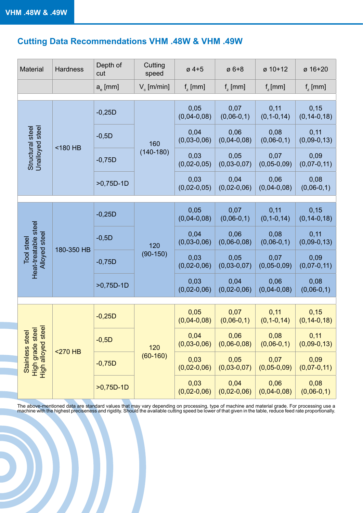# **Cutting Data Recommendations VHM .48W & VHM .49W**

| Material                                                   | <b>Hardness</b> | Depth of<br>cut  | Cutting<br>speed      | $\varnothing$ 4+5     | $\varnothing$ 6+8     | ø 10+12                   | ø 16+20                    |  |  |
|------------------------------------------------------------|-----------------|------------------|-----------------------|-----------------------|-----------------------|---------------------------|----------------------------|--|--|
|                                                            |                 | $a_{\rm e}$ [mm] | $V_c$ [m/min]         | $f_{\rm z}$ [mm]      | $f_{\rm z}$ [mm]      | $f_{\rm z}$ [mm]          | $f_{\rm z}$ [mm]           |  |  |
|                                                            |                 |                  |                       |                       |                       |                           |                            |  |  |
|                                                            |                 | $-0,25D$         |                       | 0,05<br>$(0,04-0,08)$ | 0,07<br>$(0,06-0,1)$  | 0,11<br>$(0, 1 - 0, 14)$  | 0,15<br>$(0, 14 - 0, 18)$  |  |  |
|                                                            |                 | $-0,5D$          | 160                   | 0,04<br>$(0,03-0,06)$ | 0,06<br>$(0,04-0,08)$ | 0,08<br>$(0,06-0,1)$      | 0,11<br>$(0,09-0,13)$      |  |  |
| Unalloyed steel<br>Structural steel                        | <180 HB         | $-0,75D$         | $(140-180)$           | 0,03<br>$(0,02-0,05)$ | 0,05<br>$(0,03-0,07)$ | 0,07<br>$(0, 05 - 0, 09)$ | 0,09<br>$(0,07-0,11)$      |  |  |
|                                                            | $>0,75D-1D$     |                  | 0,03<br>$(0,02-0,05)$ | 0,04<br>$(0,02-0,06)$ | 0,06<br>$(0,04-0,08)$ | 0,08<br>$(0,06-0,1)$      |                            |  |  |
|                                                            |                 |                  |                       |                       |                       |                           |                            |  |  |
|                                                            |                 | $-0,25D$         | 120<br>$(90-150)$     | 0,05<br>$(0,04-0,08)$ | 0,07<br>$(0,06-0,1)$  | 0,11<br>$(0, 1 - 0, 14)$  | 0,15<br>$(0, 14 - 0, 18)$  |  |  |
|                                                            |                 | $-0,5D$          |                       | 0,04<br>$(0,03-0,06)$ | 0,06<br>$(0,06-0,08)$ | 0,08<br>$(0,06-0,1)$      | 0,11<br>$(0,09-0,13)$      |  |  |
| Heat-treatable steel<br>Alloyed steel<br><b>Tool</b> steel | 180-350 HB      | $-0,75D$         |                       | 0,03<br>$(0,02-0,06)$ | 0,05<br>$(0,03-0,07)$ | 0,07<br>$(0, 05 - 0, 09)$ | 0,09<br>$(0,07-0,11)$      |  |  |
|                                                            |                 | $>0,75D-1D$      |                       | 0,03<br>$(0,02-0,06)$ | 0,04<br>$(0,02-0,06)$ | 0,06<br>$(0,04-0,08)$     | 0,08<br>$(0,06-0,1)$       |  |  |
|                                                            |                 |                  |                       |                       |                       |                           |                            |  |  |
|                                                            |                 | $-0,25D$         |                       | 0,05<br>$(0,04-0,08)$ | 0,07<br>$(0,06-0,1)$  | 0,11<br>$(0, 1 - 0, 14)$  | 0, 15<br>$(0, 14 - 0, 18)$ |  |  |
|                                                            |                 | $-0,5D$          | 120                   | 0,04<br>$(0,03-0,06)$ | 0,06<br>$(0,06-0,08)$ | 0,08<br>$(0,06-0,1)$      | 0,11<br>$(0,09-0,13)$      |  |  |
| High grade steel<br>High alloyed steel<br>Stainless stee   | $<$ 270 HB      | $-0,75D$         | $(60 - 160)$          | 0,03<br>$(0,02-0,06)$ | 0,05<br>$(0,03-0,07)$ | 0,07<br>$(0,05-0,09)$     | 0,09<br>$(0,07-0,11)$      |  |  |
|                                                            |                 | $>0,75D-1D$      |                       | 0,03<br>$(0,02-0,06)$ | 0,04<br>$(0,02-0,06)$ | 0,06<br>$(0,04-0,08)$     | 0,08<br>$(0,06-0,1)$       |  |  |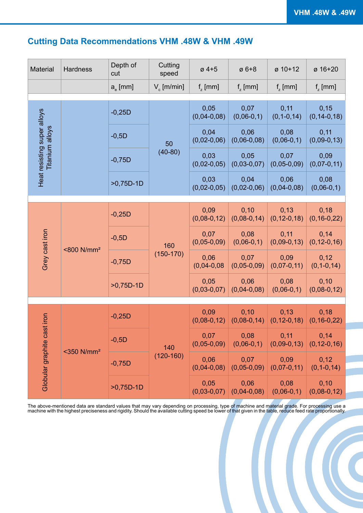## **Cutting Data Recommendations VHM .48W & VHM .49W**

| Material                    | Hardness                  | Depth of<br>cut  | Cutting<br>speed      | $\varnothing$ 4+5     | $\varnothing$ 6+8      | ø 10+12                   | ø 16+20                   |
|-----------------------------|---------------------------|------------------|-----------------------|-----------------------|------------------------|---------------------------|---------------------------|
|                             |                           | $a_{\rm e}$ [mm] | $V_{c}$ [m/min]       | $f_{\rm z}$ [mm]      | $f_{\rm z}$ [mm]       | $f_{\tau}$ [mm]           | $f_{\tau}$ [mm]           |
|                             |                           | $-0,25D$         |                       | 0,05<br>$(0,04-0,08)$ | 0,07<br>$(0,06-0,1)$   | 0,11<br>$(0, 1 - 0, 14)$  | 0,15<br>$(0, 14 - 0, 18)$ |
| Heat resisting super alloys |                           | $-0,5D$          | 50                    | 0,04<br>$(0,02-0,06)$ | 0,06<br>$(0,06-0,08)$  | 0,08<br>$(0,06-0,1)$      | 0,11<br>$(0,09-0,13)$     |
| Titanium alloys             |                           | $-0,75D$         | $(40-80)$             | 0,03<br>$(0,02-0,05)$ | 0,05<br>$(0,03-0,07)$  | 0,07<br>$(0,05-0,09)$     | 0,09<br>$(0,07-0,11)$     |
|                             | $>0,75D-1D$               |                  | 0,03<br>$(0,02-0,05)$ | 0,04<br>$(0,02-0,06)$ | 0,06<br>$(0,04-0,08)$  | 0,08<br>$(0,06-0,1)$      |                           |
|                             |                           | $-0,25D$         |                       | 0,09<br>$(0,08-0,12)$ | 0, 10<br>$(0,08-0,14)$ | 0,13<br>$(0, 12 - 0, 18)$ | 0,18<br>$(0, 16 - 0, 22)$ |
| Grey cast iron              |                           | $-0,5D$          | 160<br>$(150-170)$    | 0,07<br>$(0,05-0,09)$ | 0,08<br>$(0,06-0,1)$   | 0,11<br>$(0,09-0,13)$     | 0,14<br>$(0, 12 - 0, 16)$ |
|                             | <800 N/mm <sup>2</sup>    | $-0,75D$         |                       | 0,06<br>$(0,04-0,08)$ | 0,07<br>$(0,05-0,09)$  | 0,09<br>$(0,07-0,11)$     | 0,12<br>$(0, 1 - 0, 14)$  |
|                             |                           | $>0,75D-1D$      |                       | 0,05<br>$(0,03-0,07)$ | 0,06<br>$(0,04-0,08)$  | 0,08<br>$(0,06-0,1)$      | 0, 10<br>$(0,08-0,12)$    |
|                             |                           |                  |                       |                       |                        |                           |                           |
|                             |                           | $-0,25D$         |                       | 0,09<br>$(0,08-0,12)$ | 0,10<br>$(0,08-0,14)$  | 0,13<br>$(0, 12 - 0, 18)$ | 0,18<br>$(0, 16 - 0, 22)$ |
|                             | $<$ 350 N/mm <sup>2</sup> | $-0,5D$          | 140                   | 0,07<br>$(0,05-0,09)$ | 0,08<br>$(0,06-0,1)$   | 0,11<br>$(0,09-0,13)$     | 0,14<br>$(0, 12 - 0, 16)$ |
| Globular graphite cast iron |                           | $-0,75D$         | $(120-160)$           | 0,06<br>$(0,04-0,08)$ | 0,07<br>$(0,05-0,09)$  | 0,09<br>$(0,07-0,11)$     | 0,12<br>$(0, 1 - 0, 14)$  |
|                             |                           | $>0,75D-1D$      |                       | 0,05<br>$(0,03-0,07)$ | 0,06<br>$(0,04-0,08)$  | 0,08<br>$(0,06-0,1)$      | 0,10<br>$(0,08-0,12)$     |